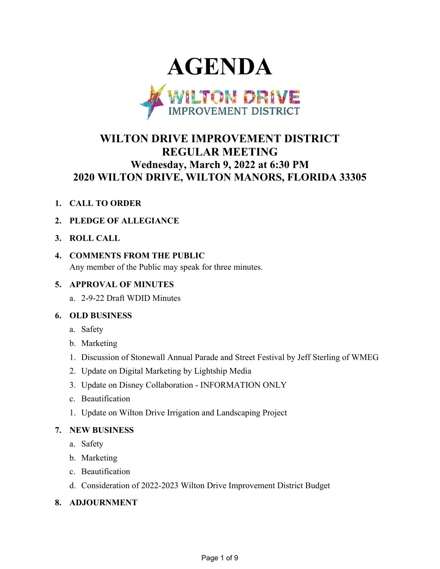

# **WILTON DRIVE IMPROVEMENT DISTRICT REGULAR MEETING Wednesday, March 9, 2022 at 6:30 PM 2020 WILTON DRIVE, WILTON MANORS, FLORIDA 33305**

- **1. CALL TO ORDER**
- **2. PLEDGE OF ALLEGIANCE**
- **3. ROLL CALL**
- **4. COMMENTS FROM THE PUBLIC**

Any member of the Public may speak for three minutes.

# **5. APPROVAL OF MINUTES**

a. 2-9-22 Draft WDID Minutes

### **6. OLD BUSINESS**

- a. Safety
- b. Marketing
- 1. Discussion of Stonewall Annual Parade and Street Festival by Jeff Sterling of WMEG
- 2. Update on Digital Marketing by Lightship Media
- 3. Update on Disney Collaboration INFORMATION ONLY
- c. Beautification
- 1. Update on Wilton Drive Irrigation and Landscaping Project

### **7. NEW BUSINESS**

- a. Safety
- b. Marketing
- c. Beautification
- d. Consideration of 2022-2023 Wilton Drive Improvement District Budget
- **8. ADJOURNMENT**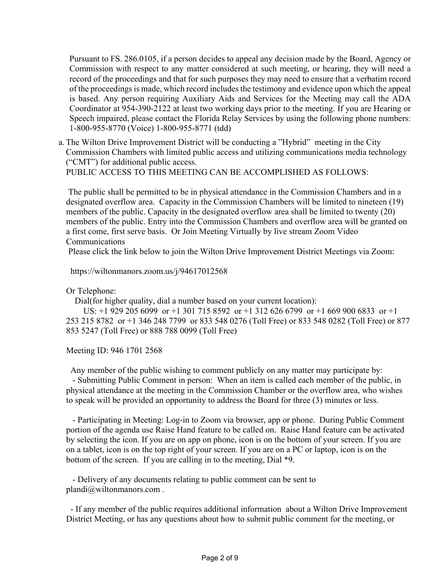Pursuant to FS. 286.0105, if a person decides to appeal any decision made by the Board, Agency or Commission with respect to any matter considered at such meeting, or hearing, they will need a record of the proceedings and that for such purposes they may need to ensure that a verbatim record of the proceedings is made, which record includes the testimony and evidence upon which the appeal is based. Any person requiring Auxiliary Aids and Services for the Meeting may call the ADA Coordinator at 954-390-2122 at least two working days prior to the meeting. If you are Hearing or Speech impaired, please contact the Florida Relay Services by using the following phone numbers: 1-800-955-8770 (Voice) 1-800-955-8771 (tdd)

a. The Wilton Drive Improvement District will be conducting a "Hybrid" meeting in the City Commission Chambers with limited public access and utilizing communications media technology ("CMT") for additional public access. PUBLIC ACCESS TO THIS MEETING CAN BE ACCOMPLISHED AS FOLLOWS:

 The public shall be permitted to be in physical attendance in the Commission Chambers and in a designated overflow area. Capacity in the Commission Chambers will be limited to nineteen (19) members of the public. Capacity in the designated overflow area shall be limited to twenty (20) members of the public. Entry into the Commission Chambers and overflow area will be granted on a first come, first serve basis. Or Join Meeting Virtually by live stream Zoom Video Communications

Please click the link below to join the Wilton Drive Improvement District Meetings via Zoom:

https://wiltonmanors.zoom.us/j/94617012568

Or Telephone:

Dial(for higher quality, dial a number based on your current location):

 US: +1 929 205 6099 or +1 301 715 8592 or +1 312 626 6799 or +1 669 900 6833 or +1 253 215 8782 or +1 346 248 7799 or 833 548 0276 (Toll Free) or 833 548 0282 (Toll Free) or 877 853 5247 (Toll Free) or 888 788 0099 (Toll Free)

Meeting ID: 946 1701 2568

Any member of the public wishing to comment publicly on any matter may participate by:

 - Submitting Public Comment in person: When an item is called each member of the public, in physical attendance at the meeting in the Commission Chamber or the overflow area, who wishes to speak will be provided an opportunity to address the Board for three (3) minutes or less.

 - Participating in Meeting: Log-in to Zoom via browser, app or phone. During Public Comment portion of the agenda use Raise Hand feature to be called on. Raise Hand feature can be activated by selecting the icon. If you are on app on phone, icon is on the bottom of your screen. If you are on a tablet, icon is on the top right of your screen. If you are on a PC or laptop, icon is on the bottom of the screen. If you are calling in to the meeting, Dial \*9.

 - Delivery of any documents relating to public comment can be sent to plandi@wiltonmanors.com .

 - If any member of the public requires additional information about a Wilton Drive Improvement District Meeting, or has any questions about how to submit public comment for the meeting, or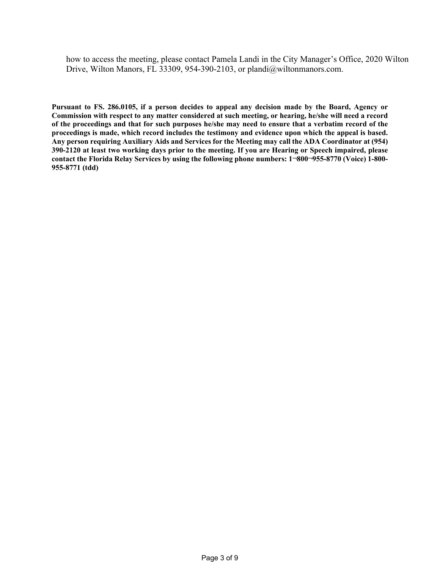how to access the meeting, please contact Pamela Landi in the City Manager's Office, 2020 Wilton Drive, Wilton Manors, FL 33309, 954-390-2103, or plandi@wiltonmanors.com.

**Pursuant to FS. 286.0105, if a person decides to appeal any decision made by the Board, Agency or Commission with respect to any matter considered at such meeting, or hearing, he/she will need a record of the proceedings and that for such purposes he/she may need to ensure that a verbatim record of the proceedings is made, which record includes the testimony and evidence upon which the appeal is based. Any person requiring Auxiliary Aids and Services for the Meeting may call the ADA Coordinator at (954) 390-2120 at least two working days prior to the meeting. If you are Hearing or Speech impaired, please contact the Florida Relay Services by using the following phone numbers: 1¬800¬955-8770 (Voice) 1-800- 955-8771 (tdd)**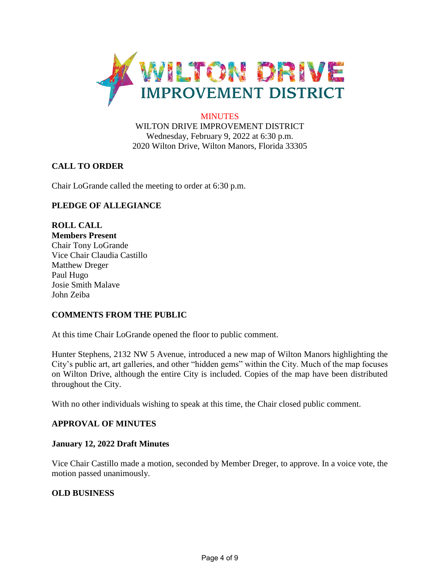

#### **MINUTES**

WILTON DRIVE IMPROVEMENT DISTRICT Wednesday, February 9, 2022 at 6:30 p.m. 2020 Wilton Drive, Wilton Manors, Florida 33305

### **CALL TO ORDER**

Chair LoGrande called the meeting to order at 6:30 p.m.

# **PLEDGE OF ALLEGIANCE**

**ROLL CALL Members Present** Chair Tony LoGrande Vice Chair Claudia Castillo Matthew Dreger Paul Hugo Josie Smith Malave John Zeiba

### **COMMENTS FROM THE PUBLIC**

At this time Chair LoGrande opened the floor to public comment.

Hunter Stephens, 2132 NW 5 Avenue, introduced a new map of Wilton Manors highlighting the City's public art, art galleries, and other "hidden gems" within the City. Much of the map focuses on Wilton Drive, although the entire City is included. Copies of the map have been distributed throughout the City.

With no other individuals wishing to speak at this time, the Chair closed public comment.

#### **APPROVAL OF MINUTES**

#### **January 12, 2022 Draft Minutes**

Vice Chair Castillo made a motion, seconded by Member Dreger, to approve. In a voice vote, the motion passed unanimously.

#### **OLD BUSINESS**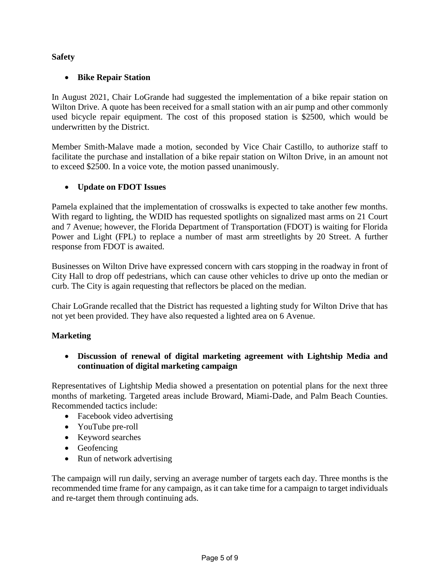# **Safety**

## • **Bike Repair Station**

In August 2021, Chair LoGrande had suggested the implementation of a bike repair station on Wilton Drive. A quote has been received for a small station with an air pump and other commonly used bicycle repair equipment. The cost of this proposed station is \$2500, which would be underwritten by the District.

Member Smith-Malave made a motion, seconded by Vice Chair Castillo, to authorize staff to facilitate the purchase and installation of a bike repair station on Wilton Drive, in an amount not to exceed \$2500. In a voice vote, the motion passed unanimously.

### • **Update on FDOT Issues**

Pamela explained that the implementation of crosswalks is expected to take another few months. With regard to lighting, the WDID has requested spotlights on signalized mast arms on 21 Court and 7 Avenue; however, the Florida Department of Transportation (FDOT) is waiting for Florida Power and Light (FPL) to replace a number of mast arm streetlights by 20 Street. A further response from FDOT is awaited.

Businesses on Wilton Drive have expressed concern with cars stopping in the roadway in front of City Hall to drop off pedestrians, which can cause other vehicles to drive up onto the median or curb. The City is again requesting that reflectors be placed on the median.

Chair LoGrande recalled that the District has requested a lighting study for Wilton Drive that has not yet been provided. They have also requested a lighted area on 6 Avenue.

### **Marketing**

• **Discussion of renewal of digital marketing agreement with Lightship Media and continuation of digital marketing campaign**

Representatives of Lightship Media showed a presentation on potential plans for the next three months of marketing. Targeted areas include Broward, Miami-Dade, and Palm Beach Counties. Recommended tactics include:

- Facebook video advertising
- YouTube pre-roll
- Keyword searches
- Geofencing
- Run of network advertising

The campaign will run daily, serving an average number of targets each day. Three months is the recommended time frame for any campaign, as it can take time for a campaign to target individuals and re-target them through continuing ads.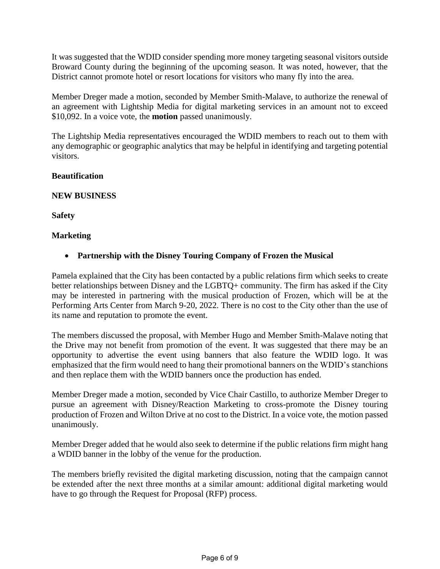It was suggested that the WDID consider spending more money targeting seasonal visitors outside Broward County during the beginning of the upcoming season. It was noted, however, that the District cannot promote hotel or resort locations for visitors who many fly into the area.

Member Dreger made a motion, seconded by Member Smith-Malave, to authorize the renewal of an agreement with Lightship Media for digital marketing services in an amount not to exceed \$10,092. In a voice vote, the **motion** passed unanimously.

The Lightship Media representatives encouraged the WDID members to reach out to them with any demographic or geographic analytics that may be helpful in identifying and targeting potential visitors.

#### **Beautification**

#### **NEW BUSINESS**

**Safety**

#### **Marketing**

• **Partnership with the Disney Touring Company of Frozen the Musical**

Pamela explained that the City has been contacted by a public relations firm which seeks to create better relationships between Disney and the LGBTQ+ community. The firm has asked if the City may be interested in partnering with the musical production of Frozen, which will be at the Performing Arts Center from March 9-20, 2022. There is no cost to the City other than the use of its name and reputation to promote the event.

The members discussed the proposal, with Member Hugo and Member Smith-Malave noting that the Drive may not benefit from promotion of the event. It was suggested that there may be an opportunity to advertise the event using banners that also feature the WDID logo. It was emphasized that the firm would need to hang their promotional banners on the WDID's stanchions and then replace them with the WDID banners once the production has ended.

Member Dreger made a motion, seconded by Vice Chair Castillo, to authorize Member Dreger to pursue an agreement with Disney/Reaction Marketing to cross-promote the Disney touring production of Frozen and Wilton Drive at no cost to the District. In a voice vote, the motion passed unanimously.

Member Dreger added that he would also seek to determine if the public relations firm might hang a WDID banner in the lobby of the venue for the production.

The members briefly revisited the digital marketing discussion, noting that the campaign cannot be extended after the next three months at a similar amount: additional digital marketing would have to go through the Request for Proposal (RFP) process.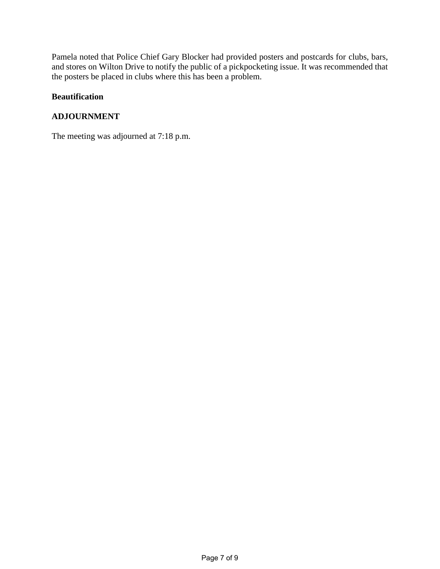Pamela noted that Police Chief Gary Blocker had provided posters and postcards for clubs, bars, and stores on Wilton Drive to notify the public of a pickpocketing issue. It was recommended that the posters be placed in clubs where this has been a problem.

#### **Beautification**

### **ADJOURNMENT**

The meeting was adjourned at 7:18 p.m.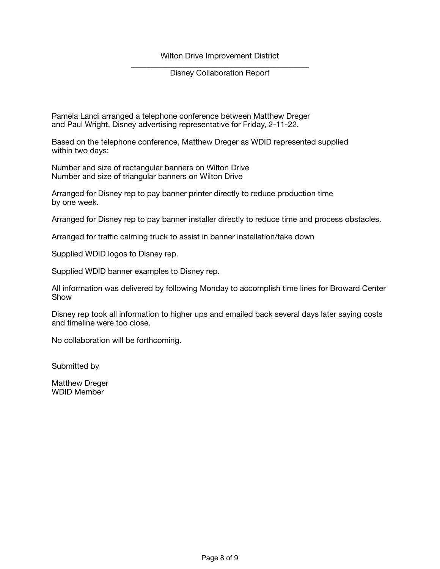Wilton Drive Improvement District

\_\_\_\_\_\_\_\_\_\_\_\_\_\_\_\_\_\_\_\_\_\_\_\_\_\_\_\_\_\_\_\_\_\_\_\_\_\_\_\_\_\_\_\_\_ Disney Collaboration Report

Pamela Landi arranged a telephone conference between Matthew Dreger and Paul Wright, Disney advertising representative for Friday, 2-11-22.

Based on the telephone conference, Matthew Dreger as WDID represented supplied within two days:

Number and size of rectangular banners on Wilton Drive Number and size of triangular banners on Wilton Drive

Arranged for Disney rep to pay banner printer directly to reduce production time by one week.

Arranged for Disney rep to pay banner installer directly to reduce time and process obstacles.

Arranged for traffic calming truck to assist in banner installation/take down

Supplied WDID logos to Disney rep.

Supplied WDID banner examples to Disney rep.

All information was delivered by following Monday to accomplish time lines for Broward Center Show

Disney rep took all information to higher ups and emailed back several days later saying costs and timeline were too close.

No collaboration will be forthcoming.

Submitted by

Matthew Dreger WDID Member